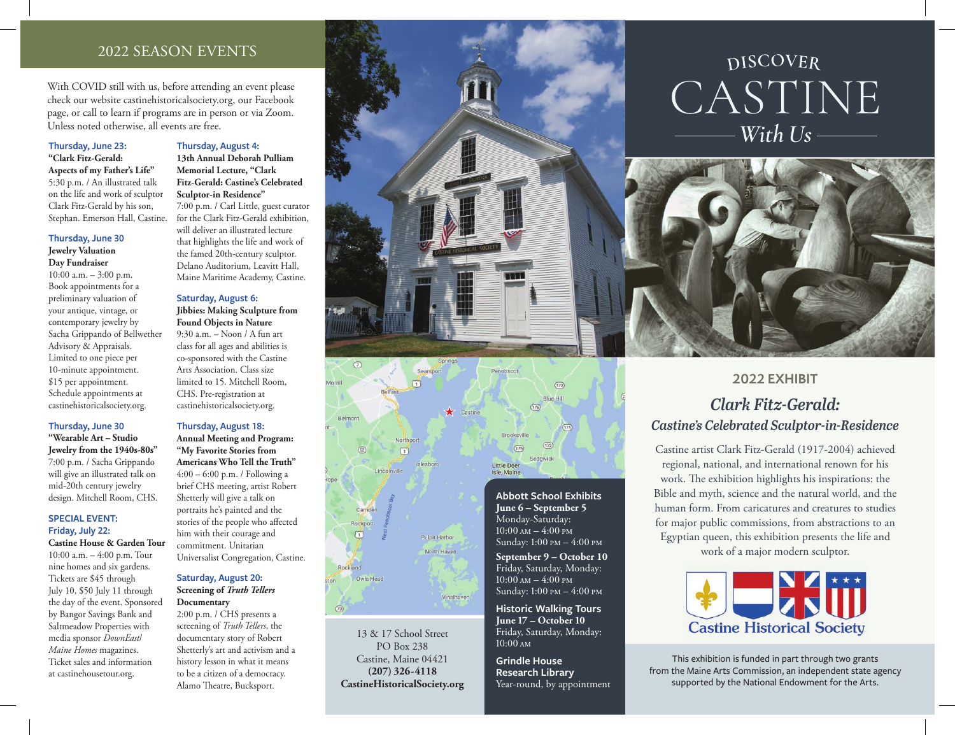### 2022 SEASON EVENTS

With COVID still with us, before attending an event please check our website castinehistoricalsociety.org, our Facebook page, or call to learn if programs are in person or via Zoom. Unless noted otherwise, all events are free.

### **Thursday, June 23:**

**"Clark Fitz-Gerald: Aspects of my Father's Life"**  5:30 p.m. / An illustrated talk on the life and work of sculptor Clark Fitz-Gerald by his son, Stephan. Emerson Hall, Castine.

### **Thursday, June 30**

**Jewelry Valuation Day Fundraiser** 10:00 a.m. – 3:00 p.m. Book appointments for a preliminary valuation of your antique, vintage, or contemporary jewelry by Sacha Grippando of Bellwether Advisory & Appraisals. Limited to one piece per 10-minute appointment. \$15 per appointment. Schedule appointments at castinehistoricalsociety.org.

### **Thursday, June 30**

**"Wearable Art – Studio Jewelry from the 1940s-80s"**  7:00 p.m. / Sacha Grippando will give an illustrated talk on mid-20th century jewelry design. Mitchell Room, CHS.

### **SPECIAL EVENT: Friday, July 22:**

**Castine House & Garden Tour** 10:00 a.m. – 4:00 p.m. Tour nine homes and six gardens. Tickets are \$45 through July 10, \$50 July 11 through the day of the event. Sponsored by Bangor Savings Bank and Saltmeadow Properties with media sponsor *DownEast*/ *Maine Homes* magazines. Ticket sales and information at castinehousetour.org.

### **Thursday, August 4: 13th Annual Deborah Pulliam Memorial Lecture, "Clark**

**Fitz-Gerald: Castine's Celebrated Sculptor-in Residence"**  7:00 p.m. / Carl Little, guest curator for the Clark Fitz-Gerald exhibition, will deliver an illustrated lecture that highlights the life and work of the famed 20th-century sculptor. Delano Auditorium, Leavitt Hall, Maine Maritime Academy, Castine.

#### **Saturday, August 6: Jibbies: Making Sculpture from**

**Found Objects in Nature**  9:30 a.m. – Noon / A fun art class for all ages and abilities is co-sponsored with the Castine Arts Association. Class size limited to 15. Mitchell Room, CHS. Pre-registration at castinehistoricalsociety.org.

### **Thursday, August 18:**

**Annual Meeting and Program: "My Favorite Stories from Americans Who Tell the Truth"**  4:00 – 6:00 p.m. / Following a brief CHS meeting, artist Robert Shetterly will give a talk on portraits he's painted and the stories of the people who affected him with their courage and commitment. Unitarian Universalist Congregation, Castine.

### **Saturday, August 20: Screening of** *Truth Tellers*  **Documentary**

2:00 p.m. / CHS presents a screening of *Truth Tellers*, the documentary story of Robert Shetterly's art and activism and a history lesson in what it means to be a citizen of a democracy. Alamo Theatre, Bucksport.





13 & 17 School Street PO Box 238 Castine, Maine 04421 **(207) 326-4118 CastineHistoricalSociety.org** **Abbott School Exhibits June 6 – September 5** Monday-Saturday:  $10:00 \text{ AM} - 4:00 \text{ PM}$ Sunday: 1:00 pm – 4:00 pm

**September 9 – October 10** Friday, Saturday, Monday:  $10:00$  am  $-4:00$  pm Sunday: 1:00 pm – 4:00 pm

**Historic Walking Tours June 17 – October 10**  Friday, Saturday, Monday: 10:00 am

**Grindle House Research Library** Year-round, by appointment

# **DISCOVER** CASTINE With Us -



### **2022 EXHIBIT**

## *Clark Fitz-Gerald: Castine's Celebrated Sculptor-in-Residence*

Castine artist Clark Fitz-Gerald (1917-2004) achieved regional, national, and international renown for his work. The exhibition highlights his inspirations: the Bible and myth, science and the natural world, and the human form. From caricatures and creatures to studies for major public commissions, from abstractions to an Egyptian queen, this exhibition presents the life and work of a major modern sculptor.



This exhibition is funded in part through two grants from the Maine Arts Commission, an independent state agency supported by the National Endowment for the Arts.